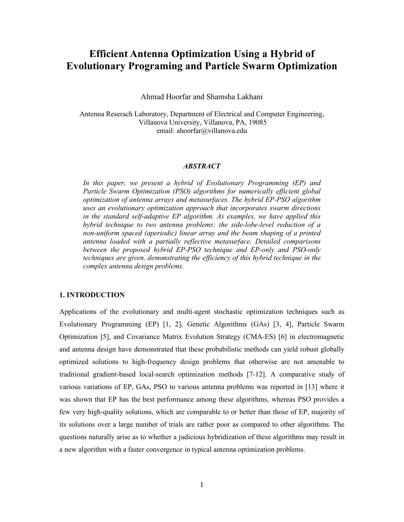# **Efficient Antenna Optimization Using a Hybrid of Evolutionary Programing and Particle Swarm Optimization**

Ahmad Hoorfar and Shamsha Lakhani

Antenna Reserach Laboratory, Department of Electrical and Computer Engineering, Villanova University, Villanova, PA, 19085 email: ahoorfar@villanova.edu

## *ABSTRACT*

*In this paper, we present a hybrid of Evolutionary Programming (EP) and Particle Swarm Optimization (PSO) algorithms for numerically efficient global optimization of antenna arrays and metasurfaces. The hybrid EP-PSO algorithm uses an evolutionary optimization approach that incorporates swarm directions in the standard self-adaptive EP algorithm. As examples, we have applied this hybrid technique to two antenna problems: the side-lobe-level reduction of a non-uniform spaced (aperiodic) linear array and the beam shaping of a printed antenna loaded with a partially reflective metasurface. Detailed comparisons between the proposed hybrid EP-PSO technique and EP-only and PSO-only techniques are given, demonstrating the efficiency of this hybrid technique in the complex antenna design problems.*

# **1. INTRODUCTION**

Applications of the evolutionary and multi-agent stochastic optimization techniques such as Evolutionary Programming (EP) [1, 2], Genetic Algorithms (GAs) [3, 4], Particle Swarm Optimization [5], and Covariance Matrix Evolution Strategy (CMA-ES) [6] in electromagnetic and antenna design have demonstrated that these probabilistic methods can yield robust globally optimized solutions to high-frequency design problems that otherwise are not amenable to traditional gradient-based local-search optimization methods [7-12]. A comparative study of various variations of EP, GAs, PSO to various antenna problems was reported in [13] where it was shown that EP has the best performance among these algorithms, whereas PSO provides a few very high-quality solutions, which are comparable to or better than those of EP, majority of its solutions over a large number of trials are rather poor as compared to other algorithms. The questions naturally arise as to whether a judicious hybridization of these algorithms may result in a new algorithm with a faster convergence in typical antenna optimization problems.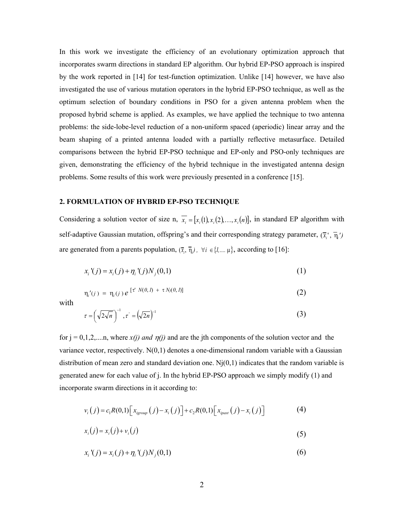In this work we investigate the efficiency of an evolutionary optimization approach that incorporates swarm directions in standard EP algorithm. Our hybrid EP-PSO approach is inspired by the work reported in [14] for test-function optimization. Unlike [14] however, we have also investigated the use of various mutation operators in the hybrid EP-PSO technique, as well as the optimum selection of boundary conditions in PSO for a given antenna problem when the proposed hybrid scheme is applied. As examples, we have applied the technique to two antenna problems: the side-lobe-level reduction of a non-uniform spaced (aperiodic) linear array and the beam shaping of a printed antenna loaded with a partially reflective metasurface. Detailed comparisons between the hybrid EP-PSO technique and EP-only and PSO-only techniques are given, demonstrating the efficiency of the hybrid technique in the investigated antenna design problems. Some results of this work were previously presented in a conference [15].

## **2. FORMULATION OF HYBRID EP-PSO TECHNIQUE**

Considering a solution vector of size n,  $\overline{x_i} = [x_i(1), x_i(2), \ldots, x_i(n)]$ , in standard EP algorithm with self-adaptive Gaussian mutation, offspring's and their corresponding strategy parameter,  $(\bar{x}_i^*,\bar{\eta}_i')$ are generated from a parents population,  $(\bar{x}_i, \bar{\eta}_i)$ ,  $\forall i \in \{1, ..., \mu\}$ , according to [16]:

$$
x_i'(j) = x_i(j) + \eta_i'(j)N_j(0,1)
$$
 (1)

$$
\eta_i'(j) = \eta_i(j) e^{[\tau^t N(0,1) + \tau N_j(0,1)]}
$$
 (2)

with

$$
\tau = \left(\sqrt{2\sqrt{n}}\,\right)^{-1}, \tau = \left(\sqrt{2n}\,\right)^{-1} \tag{3}
$$

for  $j = 0,1,2,...n$ , where  $x(j)$  and  $\eta(j)$  and are the jth components of the solution vector and the variance vector, respectively.  $N(0,1)$  denotes a one-dimensional random variable with a Gaussian distribution of mean zero and standard deviation one.  $N<sub>i</sub>(0,1)$  indicates that the random variable is generated anew for each value of j. In the hybrid EP-PSO approach we simply modify (1) and incorporate swarm directions in it according to:

$$
v_i(j) = c_1 R(0,1) \Big[ x_{\text{igroup}}(j) - x_i(j) \Big] + c_2 R(0,1) \Big[ x_{\text{ipast}}(j) - x_i(j) \Big] \tag{4}
$$

$$
x_i(j) = x_i(j) + v_i(j) \tag{5}
$$

$$
x_i'(j) = x_i(j) + \eta_i'(j)N_j(0,1)
$$
\n(6)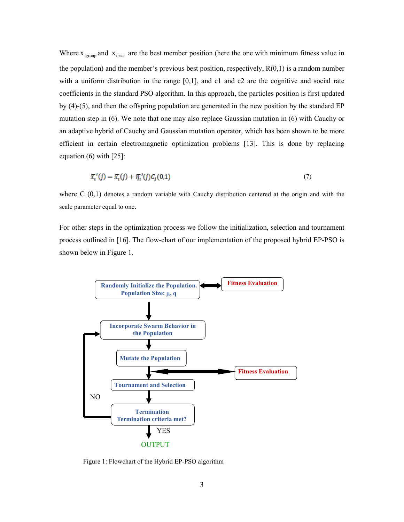Where  $X_{\text{irround}}$  and  $X_{\text{inst}}$  are the best member position (here the one with minimum fitness value in the population) and the member's previous best position, respectively,  $R(0,1)$  is a random number with a uniform distribution in the range  $[0,1]$ , and c1 and c2 are the cognitive and social rate coefficients in the standard PSO algorithm. In this approach, the particles position is first updated by (4)-(5), and then the offspring population are generated in the new position by the standard EP mutation step in (6). We note that one may also replace Gaussian mutation in (6) with Cauchy or an adaptive hybrid of Cauchy and Gaussian mutation operator, which has been shown to be more efficient in certain electromagnetic optimization problems [13]. This is done by replacing equation  $(6)$  with  $[25]$ :

$$
\overline{x}_i'(j) = \overline{x}_i(j) + \overline{\eta}_i'(j)C_j(0,1) \tag{7}
$$

where  $C(0,1)$  denotes a random variable with Cauchy distribution centered at the origin and with the scale parameter equal to one.

For other steps in the optimization process we follow the initialization, selection and tournament process outlined in [16]. The flow-chart of our implementation of the proposed hybrid EP-PSO is shown below in Figure 1.



Figure 1: Flowchart of the Hybrid EP-PSO algorithm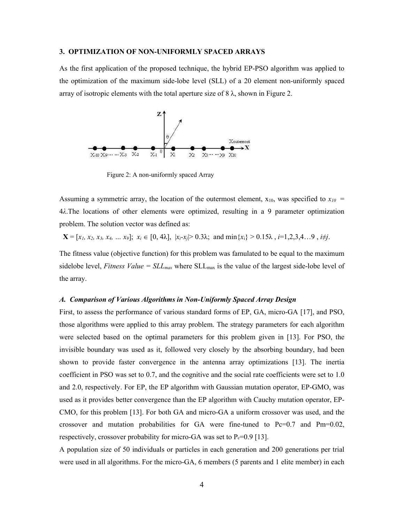#### **3. OPTIMIZATION OF NON-UNIFORMLY SPACED ARRAYS**

As the first application of the proposed technique, the hybrid EP-PSO algorithm was applied to the optimization of the maximum side-lobe level (SLL) of a 20 element non-uniformly spaced array of isotropic elements with the total aperture size of  $8 \lambda$ , shown in Figure 2.



Figure 2: A non-uniformly spaced Array

Assuming a symmetric array, the location of the outermost element,  $x_{10}$ , was specified to  $x_{10}$  = 4*λ*.The locations of other elements were optimized, resulting in a 9 parameter optimization problem. The solution vector was defined as:

 $\mathbf{X} = [x_1, x_2, x_3, x_4, \dots, x_9]; \; x_i \in [0, 4\lambda], \; |x_i - x_j| > 0.3\lambda; \; \text{and} \; \min\{x_i\} > 0.15\lambda, \; i = 1, 2, 3, 4 \dots 9, \; i \neq j.$ 

The fitness value (objective function) for this problem was famulated to be equal to the maximum sidelobe level, *Fitness Value* = SLL<sub>max</sub> where SLL<sub>max</sub> is the value of the largest side-lobe level of the array.

## *A. Comparison of Various Algorithms in Non-Uniformly Spaced Array Design*

First, to assess the performance of various standard forms of EP, GA, micro-GA [17], and PSO, those algorithms were applied to this array problem. The strategy parameters for each algorithm were selected based on the optimal parameters for this problem given in [13]. For PSO, the invisible boundary was used as it, followed very closely by the absorbing boundary, had been shown to provide faster convergence in the antenna array optimizations [13]. The inertia coefficient in PSO was set to 0.7, and the cognitive and the social rate coefficients were set to 1.0 and 2.0, respectively. For EP, the EP algorithm with Gaussian mutation operator, EP-GMO, was used as it provides better convergence than the EP algorithm with Cauchy mutation operator, EP-CMO, for this problem [13]. For both GA and micro-GA a uniform crossover was used, and the crossover and mutation probabilities for GA were fine-tuned to Pc=0.7 and Pm=0.02, respectively, crossover probability for micro-GA was set to  $P_c=0.9$  [13].

A population size of 50 individuals or particles in each generation and 200 generations per trial were used in all algorithms. For the micro-GA, 6 members (5 parents and 1 elite member) in each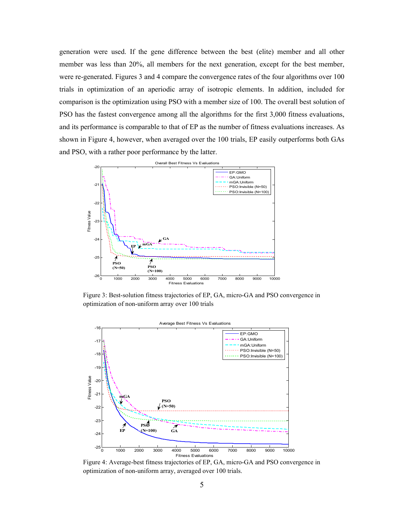generation were used. If the gene difference between the best (elite) member and all other member was less than 20%, all members for the next generation, except for the best member, were re-generated. Figures 3 and 4 compare the convergence rates of the four algorithms over 100 trials in optimization of an aperiodic array of isotropic elements. In addition, included for comparison is the optimization using PSO with a member size of 100. The overall best solution of PSO has the fastest convergence among all the algorithms for the first 3,000 fitness evaluations, and its performance is comparable to that of EP as the number of fitness evaluations increases. As shown in Figure 4, however, when averaged over the 100 trials, EP easily outperforms both GAs and PSO, with a rather poor performance by the latter.



Figure 3: Best-solution fitness trajectories of EP, GA, micro-GA and PSO convergence in optimization of non-uniform array over 100 trials



Figure 4: Average-best fitness trajectories of EP, GA, micro-GA and PSO convergence in optimization of non-uniform array, averaged over 100 trials.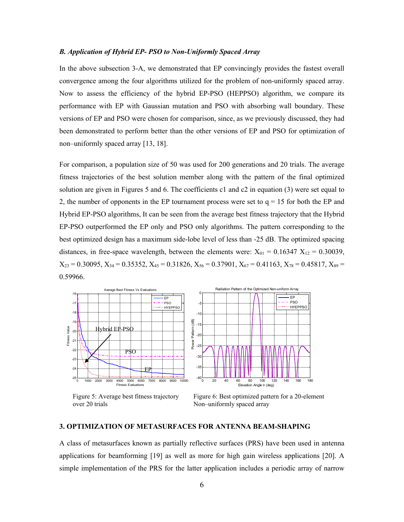#### *B. Application of Hybrid EP- PSO to Non-Uniformly Spaced Array*

In the above subsection 3-A, we demonstrated that EP convincingly provides the fastest overall convergence among the four algorithms utilized for the problem of non-uniformly spaced array. Now to assess the efficiency of the hybrid EP-PSO (HEPPSO) algorithm, we compare its performance with EP with Gaussian mutation and PSO with absorbing wall boundary. These versions of EP and PSO were chosen for comparison, since, as we previously discussed, they had been demonstrated to perform better than the other versions of EP and PSO for optimization of non–uniformly spaced array [13, 18].

For comparison, a population size of 50 was used for 200 generations and 20 trials. The average fitness trajectories of the best solution member along with the pattern of the final optimized solution are given in Figures 5 and 6. The coefficients c1 and c2 in equation (3) were set equal to 2, the number of opponents in the EP tournament process were set to  $q = 15$  for both the EP and Hybrid EP-PSO algorithms, It can be seen from the average best fitness trajectory that the Hybrid EP-PSO outperformed the EP only and PSO only algorithms. The pattern corresponding to the best optimized design has a maximum side-lobe level of less than -25 dB. The optimized spacing distances, in free-space wavelength, between the elements were:  $X_{01} = 0.16347 X_{12} = 0.30039$ ,  $X_{23} = 0.30095, X_{34} = 0.35352, X_{45} = 0.31826, X_{56} = 0.37901, X_{67} = 0.41163, X_{78} = 0.45817, X_{89} =$ 0.59966.



Figure 5: Average best fitness trajectory over 20 trials

Figure 6: Best optimized pattern for a 20-element Non–uniformly spaced array

# **3. OPTIMIZATION OF METASURFACES FOR ANTENNA BEAM-SHAPING**

A class of metasurfaces known as partially reflective surfaces (PRS) have been used in antenna applications for beamforming [19] as well as more for high gain wireless applications [20]. A simple implementation of the PRS for the latter application includes a periodic array of narrow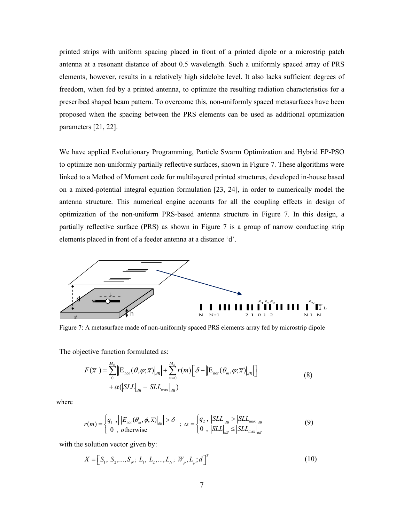printed strips with uniform spacing placed in front of a printed dipole or a microstrip patch antenna at a resonant distance of about 0.5 wavelength. Such a uniformly spaced array of PRS elements, however, results in a relatively high sidelobe level. It also lacks sufficient degrees of freedom, when fed by a printed antenna, to optimize the resulting radiation characteristics for a prescribed shaped beam pattern. To overcome this, non-uniformly spaced metasurfaces have been proposed when the spacing between the PRS elements can be used as additional optimization parameters [21, 22].

We have applied Evolutionary Programming, Particle Swarm Optimization and Hybrid EP-PSO to optimize non-uniformly partially reflective surfaces, shown in Figure 7. These algorithms were linked to a Method of Moment code for multilayered printed structures, developed in-house based on a mixed-potential integral equation formulation [23, 24], in order to numerically model the antenna structure. This numerical engine accounts for all the coupling effects in design of optimization of the non-uniform PRS-based antenna structure in Figure 7. In this design, a partially reflective surface (PRS) as shown in Figure 7 is a group of narrow conducting strip elements placed in front of a feeder antenna at a distance 'd'.



Figure 7: A metasurface made of non-uniformly spaced PRS elements array fed by microstrip dipole

The objective function formulated as:

$$
F(\overline{x}) = \sum_{0}^{M_{\theta}} \left\| \mathcal{E}_{\text{nor}}(\theta, \varphi; \overline{x}) \right\|_{dB} + \sum_{m=0}^{M_{\theta}} r(m) \left[ \delta - \left\| \mathcal{E}_{\text{nor}}(\theta_{m}, \varphi; \overline{x}) \right\|_{dB} \right] + \alpha \left( \left\| SL_{\text{d}B} - \left\| SL_{\text{max}} \right\|_{dB} \right)
$$
\n(8)

where

$$
r(m) = \begin{cases} q_1, & \left| \left| E_{\text{nor}}(\theta_m, \phi, \overline{x}) \right|_{dB} \right| > \delta \\ 0, & \text{otherwise} \end{cases}; \ \alpha = \begin{cases} q_2, & \left| SLL \right|_{dB} > \left| SLL_{\text{max}} \right|_{dB} \\ 0, & \left| SLL \right|_{dB} \leq \left| SLL_{\text{max}} \right|_{dB} \end{cases} \tag{9}
$$

with the solution vector given by:

$$
\overline{X} = [S_1, S_2, ..., S_N; L_1, L_2, ..., L_N; W_p, L_p; d]^T
$$
\n(10)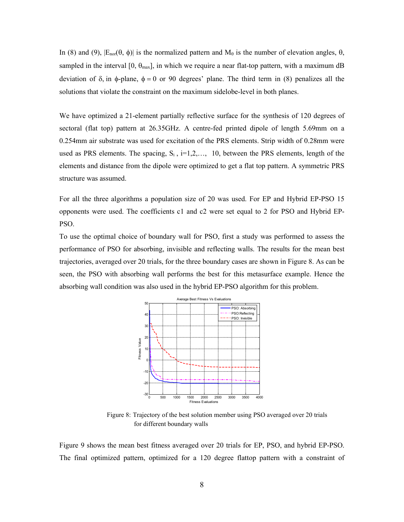In (8) and (9),  $|E_{\text{nor}}(\theta, \phi)|$  is the normalized pattern and  $M_{\theta}$  is the number of elevation angles,  $\theta$ , sampled in the interval  $[0, \theta_{\text{max}}]$ , in which we require a near flat-top pattern, with a maximum dB deviation of δ, in φ-plane,  $φ = 0$  or 90 degrees' plane. The third term in (8) penalizes all the solutions that violate the constraint on the maximum sidelobe-level in both planes.

We have optimized a 21-element partially reflective surface for the synthesis of 120 degrees of sectoral (flat top) pattern at 26.35GHz. A centre-fed printed dipole of length 5.69mm on a 0.254mm air substrate was used for excitation of the PRS elements. Strip width of 0.28mm were used as PRS elements. The spacing,  $S_i$ ,  $i=1,2,..., 10$ , between the PRS elements, length of the elements and distance from the dipole were optimized to get a flat top pattern. A symmetric PRS structure was assumed.

For all the three algorithms a population size of 20 was used. For EP and Hybrid EP-PSO 15 opponents were used. The coefficients c1 and c2 were set equal to 2 for PSO and Hybrid EP-PSO.

To use the optimal choice of boundary wall for PSO, first a study was performed to assess the performance of PSO for absorbing, invisible and reflecting walls. The results for the mean best trajectories, averaged over 20 trials, for the three boundary cases are shown in Figure 8. As can be seen, the PSO with absorbing wall performs the best for this metasurface example. Hence the absorbing wall condition was also used in the hybrid EP-PSO algorithm for this problem.



Figure 8: Trajectory of the best solution member using PSO averaged over 20 trials for different boundary walls

Figure 9 shows the mean best fitness averaged over 20 trials for EP, PSO, and hybrid EP-PSO. The final optimized pattern, optimized for a 120 degree flattop pattern with a constraint of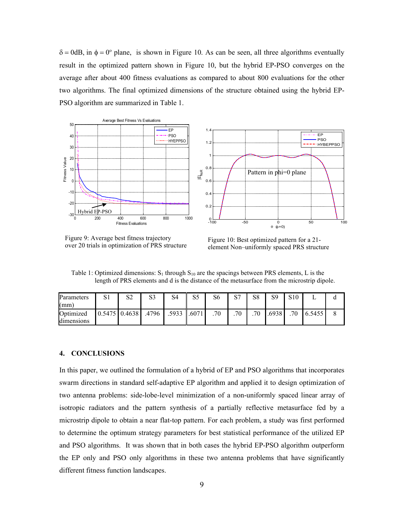$\delta = 0$ dB, in  $\phi = 0^{\circ}$  plane, is shown in Figure 10. As can be seen, all three algorithms eventually result in the optimized pattern shown in Figure 10, but the hybrid EP-PSO converges on the average after about 400 fitness evaluations as compared to about 800 evaluations for the other two algorithms. The final optimized dimensions of the structure obtained using the hybrid EP-PSO algorithm are summarized in Table 1.



Figure 9: Average best fitness trajectory Figure 9: Average best fitness trajectory<br>
Figure 10: Best optimized pattern for a 21-<br>
Figure 10: Best optimized pattern for a 21-<br>
Plement Non-uniformly spaced PRS structure

element Non–uniformly spaced PRS structure

Table 1: Optimized dimensions:  $S_1$  through  $S_{10}$  are the spacings between PRS elements, L is the length of PRS elements and d is the distance of the metasurface from the microstrip dipole.

| Parameters | C <sub>1</sub><br>لات | S2 | S3    | S4    | cε<br>ت ف | S6 | C7<br>◡ | S8 | S9    | S <sub>10</sub> |      |   |
|------------|-----------------------|----|-------|-------|-----------|----|---------|----|-------|-----------------|------|---|
| (mm        |                       |    |       |       |           |    |         |    |       |                 |      |   |
| Optimized  | $0.5475$ 0.4638       |    | .4796 | .5933 | .6071     | 70 | .70     | 70 | .6938 | 70              | 5455 | O |
| dimensions |                       |    |       |       |           |    |         |    |       |                 |      |   |

# **4. CONCLUSIONS**

In this paper, we outlined the formulation of a hybrid of EP and PSO algorithms that incorporates swarm directions in standard self-adaptive EP algorithm and applied it to design optimization of two antenna problems: side-lobe-level minimization of a non-uniformly spaced linear array of isotropic radiators and the pattern synthesis of a partially reflective metasurface fed by a microstrip dipole to obtain a near flat-top pattern. For each problem, a study was first performed to determine the optimum strategy parameters for best statistical performance of the utilized EP and PSO algorithms. It was shown that in both cases the hybrid EP-PSO algorithm outperform the EP only and PSO only algorithms in these two antenna problems that have significantly different fitness function landscapes.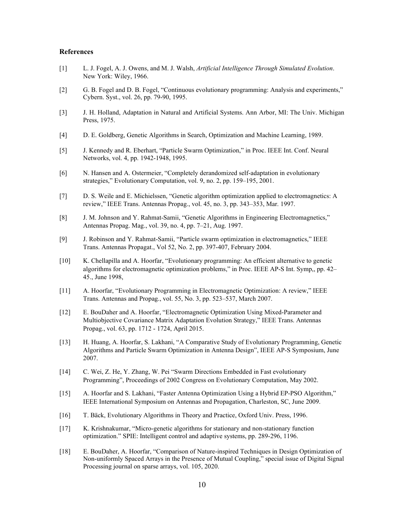#### **References**

- [1] L. J. Fogel, A. J. Owens, and M. J. Walsh, *Artificial Intelligence Through Simulated Evolution*. New York: Wiley, 1966.
- [2] G. B. Fogel and D. B. Fogel, "Continuous evolutionary programming: Analysis and experiments," Cybern. Syst., vol. 26, pp. 79-90, 1995.
- [3] J. H. Holland, Adaptation in Natural and Artificial Systems. Ann Arbor, MI: The Univ. Michigan Press, 1975.
- [4] D. E. Goldberg, Genetic Algorithms in Search, Optimization and Machine Learning, 1989.
- [5] J. Kennedy and R. Eberhart, "Particle Swarm Optimization," in Proc. IEEE Int. Conf. Neural Networks, vol. 4, pp. 1942-1948, 1995.
- [6] N. Hansen and A. Ostermeier, "Completely derandomized self-adaptation in evolutionary strategies," Evolutionary Computation, vol. 9, no. 2, pp. 159–195, 2001.
- [7] D. S. Weile and E. Michielssen, "Genetic algorithm optimization applied to electromagnetics: A review," IEEE Trans. Antennas Propag., vol. 45, no. 3, pp. 343–353, Mar. 1997.
- [8] J. M. Johnson and Y. Rahmat-Samii, "Genetic Algorithms in Engineering Electromagnetics," Antennas Propag. Mag., vol. 39, no. 4, pp. 7–21, Aug. 1997.
- [9] J. Robinson and Y. Rahmat-Samii, "Particle swarm optimization in electromagnetics," IEEE Trans. Antennas Propagat., Vol 52, No. 2, pp. 397-407, February 2004.
- [10] K. Chellapilla and A. Hoorfar, "Evolutionary programming: An efficient alternative to genetic algorithms for electromagnetic optimization problems," in Proc. IEEE AP-S Int. Symp,, pp. 42– 45., June 1998,
- [11] A. Hoorfar, "Evolutionary Programming in Electromagnetic Optimization: A review," IEEE Trans. Antennas and Propag., vol. 55, No. 3, pp. 523–537, March 2007.
- [12] E. BouDaher and A. Hoorfar, "Electromagnetic Optimization Using Mixed-Parameter and Multiobjective Covariance Matrix Adaptation Evolution Strategy," IEEE Trans. Antennas Propag., vol. 63, pp. 1712 - 1724, April 2015.
- [13] H. Huang, A. Hoorfar, S. Lakhani, "A Comparative Study of Evolutionary Programming, Genetic Algorithms and Particle Swarm Optimization in Antenna Design", IEEE AP-S Symposium, June 2007.
- [14] C. Wei, Z. He, Y. Zhang, W. Pei "Swarm Directions Embedded in Fast evolutionary Programming", Proceedings of 2002 Congress on Evolutionary Computation, May 2002.
- [15] A. Hoorfar and S. Lakhani, "Faster Antenna Optimization Using a Hybrid EP-PSO Algorithm," IEEE International Symposium on Antennas and Propagation, Charleston, SC, June 2009.
- [16] T. Bäck, Evolutionary Algorithms in Theory and Practice, Oxford Univ. Press, 1996.
- [17] K. Krishnakumar, "Micro-genetic algorithms for stationary and non-stationary function optimization." SPIE: Intelligent control and adaptive systems, pp. 289-296, 1196.
- [18] E. BouDaher, A. Hoorfar, "Comparison of Nature-inspired Techniques in Design Optimization of Non-uniformly Spaced Arrays in the Presence of Mutual Coupling," special issue of Digital Signal Processing journal on sparse arrays, vol. 105, 2020.